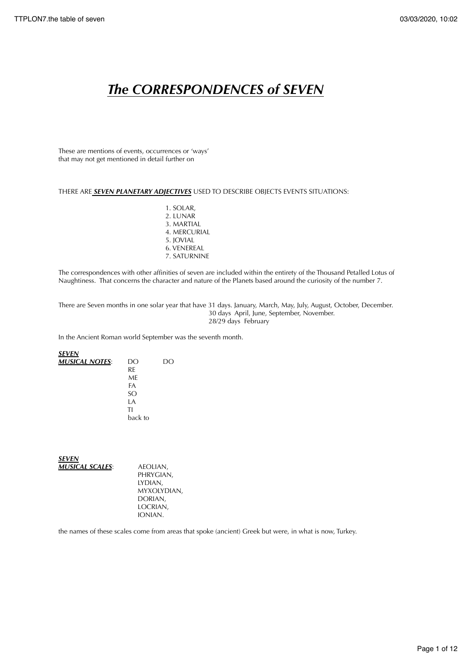# *The CORRESPONDENCES of SEVEN*

These are mentions of events, occurrences or 'ways' that may not get mentioned in detail further on

# THERE ARE *SEVEN PLANETARY ADJECTIVES* USED TO DESCRIBE OBJECTS EVENTS SITUATIONS:

 1. SOLAR, 2. LUNAR 3. MARTIAL 4. MERCURIAL 5. JOVIAL 6. VENEREAL 7. SATURNINE

The correspondences with other affinities of seven are included within the entirety of the Thousand Petalled Lotus of Naughtiness. That concerns the character and nature of the Planets based around the curiosity of the number 7.

There are Seven months in one solar year that have 31 days. January, March, May, July, August, October, December. 30 days April, June, September, November. 28/29 days February

In the Ancient Roman world September was the seventh month.

#### *SEVEN MUSICAL NOTES*: DO DO RE ME FA SO LA TI back to

*SEVEN MUSICAL SCALES*: AEOLIAN,

 PHRYGIAN, LYDIAN, MYXOLYDIAN, DORIAN, LOCRIAN, IONIAN.

the names of these scales come from areas that spoke (ancient) Greek but were, in what is now, Turkey.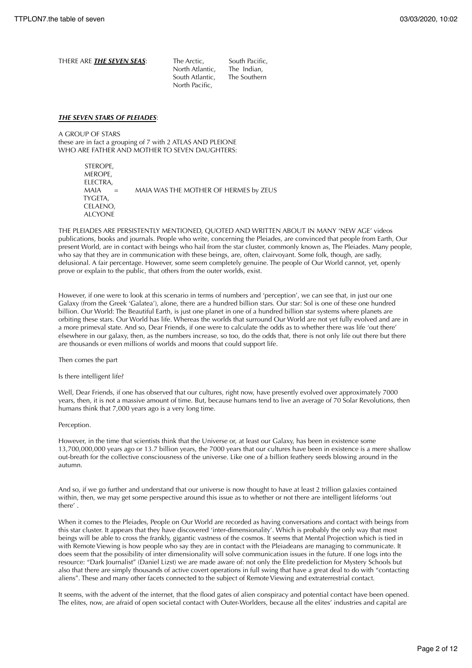| THERE ARE <i>THE SEVEN SEAS</i> : | The Arctic.<br>North Atlantic.<br>South Atlantic. | South Pacific,<br>The Indian.<br>The Southern |
|-----------------------------------|---------------------------------------------------|-----------------------------------------------|
|                                   | North Pacific.                                    |                                               |

#### *THE SEVEN STARS OF PLEIADES*:

A GROUP OF STARS these are in fact a grouping of 7 with 2 ATLAS AND PLEIONE WHO ARE FATHER AND MOTHER TO SEVEN DAUGHTERS:

> **STEROPE**  MEROPE, ELECTRA, MAIA = MAIA WAS THE MOTHER OF HERMES by ZEUS TYGETA, CELAENO, ALCYONE

THE PLEIADES ARE PERSISTENTLY MENTIONED, QUOTED AND WRITTEN ABOUT IN MANY 'NEW AGE' videos publications, books and journals. People who write, concerning the Pleiades, are convinced that people from Earth, Our present World, are in contact with beings who hail from the star cluster, commonly known as, The Pleiades. Many people, who say that they are in communication with these beings, are, often, clairvoyant. Some folk, though, are sadly, delusional. A fair percentage. However, some seem completely genuine. The people of Our World cannot, yet, openly prove or explain to the public, that others from the outer worlds, exist.

However, if one were to look at this scenario in terms of numbers and 'perception', we can see that, in just our one Galaxy (from the Greek 'Galatea'), alone, there are a hundred billion stars. Our star: Sol is one of these one hundred billion. Our World: The Beautiful Earth, is just one planet in one of a hundred billion star systems where planets are orbiting these stars. Our World has life. Whereas the worlds that surround Our World are not yet fully evolved and are in a more primeval state. And so, Dear Friends, if one were to calculate the odds as to whether there was life 'out there' elsewhere in our galaxy, then, as the numbers increase, so too, do the odds that, there is not only life out there but there are thousands or even millions of worlds and moons that could support life.

Then comes the part

#### Is there intelligent life?

Well, Dear Friends, if one has observed that our cultures, right now, have presently evolved over approximately 7000 years, then, it is not a massive amount of time. But, because humans tend to live an average of 70 Solar Revolutions, then humans think that 7,000 years ago is a very long time.

#### Perception.

However, in the time that scientists think that the Universe or, at least our Galaxy, has been in existence some 13,700,000,000 years ago or 13.7 billion years, the 7000 years that our cultures have been in existence is a mere shallow out-breath for the collective consciousness of the universe. Like one of a billion feathery seeds blowing around in the autumn.

And so, if we go further and understand that our universe is now thought to have at least 2 trillion galaxies contained within, then, we may get some perspective around this issue as to whether or not there are intelligent lifeforms 'out there' .

When it comes to the Pleiades, People on Our World are recorded as having conversations and contact with beings from this star cluster. It appears that they have discovered 'inter-dimensionality'. Which is probably the only way that most beings will be able to cross the frankly, gigantic vastness of the cosmos. It seems that Mental Projection which is tied in with Remote Viewing is how people who say they are in contact with the Pleiadeans are managing to communicate. It does seem that the possibility of inter dimensionality will solve communication issues in the future. If one logs into the resource: "Dark Journalist" (Daniel Lizst) we are made aware of: not only the Elite predeliction for Mystery Schools but also that there are simply thousands of active covert operations in full swing that have a great deal to do with "contacting aliens". These and many other facets connected to the subject of Remote Viewing and extraterrestrial contact.

It seems, with the advent of the internet, that the flood gates of alien conspiracy and potential contact have been opened. The elites, now, are afraid of open societal contact with Outer-Worlders, because all the elites' industries and capital are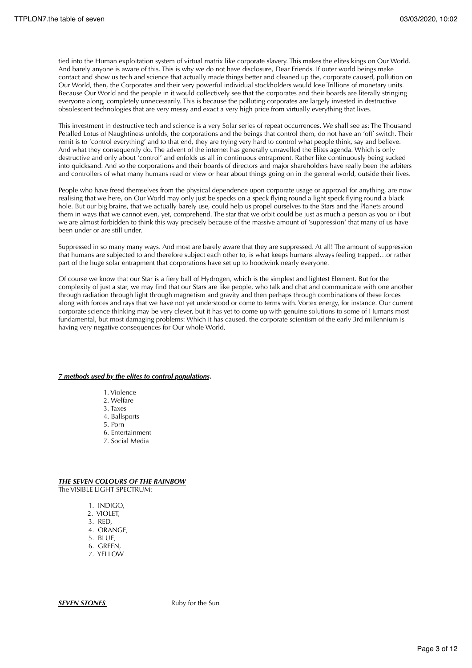tied into the Human exploitation system of virtual matrix like corporate slavery. This makes the elites kings on Our World. And barely anyone is aware of this. This is why we do not have disclosure, Dear Friends. If outer world beings make contact and show us tech and science that actually made things better and cleaned up the, corporate caused, pollution on Our World, then, the Corporates and their very powerful individual stockholders would lose Trillions of monetary units. Because Our World and the people in it would collectively see that the corporates and their boards are literally stringing everyone along, completely unnecessarily. This is because the polluting corporates are largely invested in destructive obsolescent technologies that are very messy and exact a very high price from virtually everything that lives.

This investment in destructive tech and science is a very Solar series of repeat occurrences. We shall see as: The Thousand Petalled Lotus of Naughtiness unfolds, the corporations and the beings that control them, do not have an 'off' switch. Their remit is to 'control everything' and to that end, they are trying very hard to control what people think, say and believe. And what they consequently do. The advent of the internet has generally unravelled the Elites agenda. Which is only destructive and only about 'control' and enfolds us all in continuous entrapment. Rather like continuously being sucked into quicksand. And so the corporations and their boards of directors and major shareholders have really been the arbiters and controllers of what many humans read or view or hear about things going on in the general world, outside their lives.

People who have freed themselves from the physical dependence upon corporate usage or approval for anything, are now realising that we here, on Our World may only just be specks on a speck flying round a light speck flying round a black hole. But our big brains, that we actually barely use, could help us propel ourselves to the Stars and the Planets around them in ways that we cannot even, yet, comprehend. The star that we orbit could be just as much a person as you or i but we are almost forbidden to think this way precisely because of the massive amount of 'suppression' that many of us have been under or are still under.

Suppressed in so many many ways. And most are barely aware that they are suppressed. At all! The amount of suppression that humans are subjected to and therefore subject each other to, is what keeps humans always feeling trapped…or rather part of the huge solar entrapment that corporations have set up to hoodwink nearly everyone.

Of course we know that our Star is a fiery ball of Hydrogen, which is the simplest and lightest Element. But for the complexity of just a star, we may find that our Stars are like people, who talk and chat and communicate with one another through radiation through light through magnetism and gravity and then perhaps through combinations of these forces along with forces and rays that we have not yet understood or come to terms with. Vortex energy, for instance. Our current corporate science thinking may be very clever, but it has yet to come up with genuine solutions to some of Humans most fundamental, but most damaging problems: Which it has caused. the corporate scientism of the early 3rd millennium is having very negative consequences for Our whole World.

# *7 methods used by the elites to control populations***.**

- 1. Violence
- 2. Welfare
- 3. Taxes
- 4. Ballsports
- 5. Porn
- 6. Entertainment
- 7. Social Media

# *THE SEVEN COLOURS OF THE RAINBOW*

The VISIBLE LIGHT SPECTRUM:

- 1. INDIGO,
- 2. VIOLET,
- 3. RED,
- 4. ORANGE,
- 5. BLUE,
- 6. GREEN,
- 7. YELLOW

**SEVEN STONES** Ruby for the Sun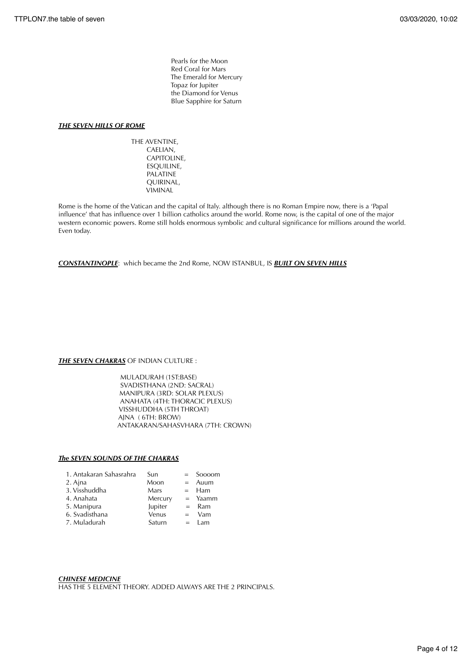Pearls for the Moon Red Coral for Mars The Emerald for Mercury Topaz for Jupiter the Diamond for Venus Blue Sapphire for Saturn

# *THE SEVEN HILLS OF ROME*

 THE AVENTINE, CAELIAN, CAPITOLINE, ESQUILINE, PALATINE QUIRINAL, VIMINAL

Rome is the home of the Vatican and the capital of Italy. although there is no Roman Empire now, there is a 'Papal influence' that has influence over 1 billion catholics around the world. Rome now, is the capital of one of the major western economic powers. Rome still holds enormous symbolic and cultural significance for millions around the world. Even today.

*CONSTANTINOPLE*: which became the 2nd Rome, NOW ISTANBUL, IS *BUILT ON SEVEN HILLS*

# **THE SEVEN CHAKRAS** OF INDIAN CULTURE :

 MULADURAH (1ST:BASE) SVADISTHANA (2ND: SACRAL) MANIPURA (3RD: SOLAR PLEXUS) ANAHATA (4TH: THORACIC PLEXUS) VISSHUDDHA (5TH THROAT) AJNA ( 6TH: BROW) ANTAKARAN/SAHASVHARA (7TH: CROWN)

# *The SEVEN SOUNDS OF THE CHAKRAS*

| 1. Antakaran Sahasrahra | Sun     | $=$ Soooom      |
|-------------------------|---------|-----------------|
| 2. Ajna                 | Moon    | $=$ Auum        |
| 3. Visshuddha           | Mars    | $=$ Ham         |
| 4. Anahata              | Mercury | $=$ Yaamm       |
| 5. Manipura             | Jupiter | $=$ Ram         |
| 6. Svadisthana          | Venus   | $=$ Vam         |
| 7. Muladurah            | Saturn  | $=$ $\lambda$ m |

# *CHINESE MEDICINE*

HAS THE 5 ELEMENT THEORY. ADDED ALWAYS ARE THE 2 PRINCIPALS.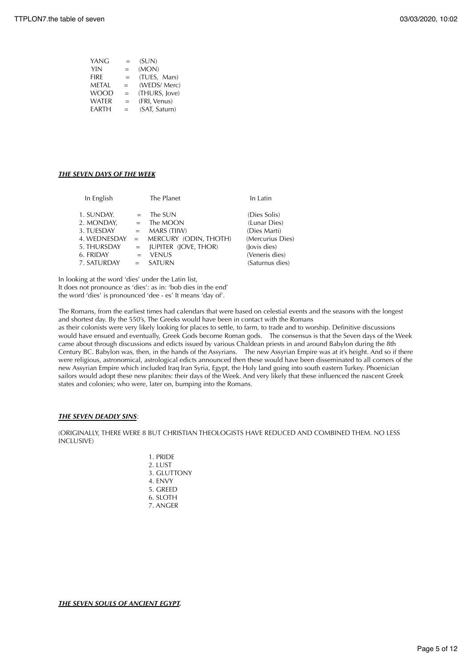| $=$ | (SUN)         |
|-----|---------------|
| $=$ | (MON)         |
| $=$ | (TUES, Mars)  |
| $=$ | (WEDS/Merc)   |
| $=$ | (THURS, Jove) |
| $=$ | (FRI, Venus)  |
| $=$ | (SAT, Saturn) |
|     |               |

# *THE SEVEN DAYS OF THE WEEK*

| In English                                                                         |                                                 | The Planet                                                                                                 | In Latin                                                                                           |
|------------------------------------------------------------------------------------|-------------------------------------------------|------------------------------------------------------------------------------------------------------------|----------------------------------------------------------------------------------------------------|
| 1. SUNDAY.<br>2. MONDAY,<br>3. TUESDAY<br>4. WEDNESDAY<br>5. THURSDAY<br>6. FRIDAY | $=$<br>$=$<br>$=$<br>$\alpha = 1$<br>$=$<br>$=$ | The SUN<br>The MOON<br>MARS (TIIW)<br>MERCURY (ODIN, THOTH)<br><b>JUPITER (JOVE, THOR)</b><br><b>VENUS</b> | (Dies Solis)<br>(Lunar Dies)<br>(Dies Marti)<br>(Mercurius Dies)<br>(Jovis dies)<br>(Veneris dies) |
| 7. SATURDAY                                                                        | $=$                                             | <b>SATURN</b>                                                                                              | (Saturnus dies)                                                                                    |

In looking at the word 'dies' under the Latin list, It does not pronounce as 'dies': as in: 'bob dies in the end' the word 'dies' is pronounced 'dee - es' It means 'day of'.

The Romans, from the earliest times had calendars that were based on celestial events and the seasons with the longest and shortest day. By the 550's, The Greeks would have been in contact with the Romans as their colonists were very likely looking for places to settle, to farm, to trade and to worship. Definitive discussions would have ensued and eventually, Greek Gods become Roman gods. The consensus is that the Seven days of the Week came about through discussions and edicts issued by various Chaldean priests in and around Babylon during the 8th Century BC. Babylon was, then, in the hands of the Assyrians. The new Assyrian Empire was at it's height. And so if there were religious, astronomical, astrological edicts announced then these would have been disseminated to all corners of the new Assyrian Empire which included Iraq Iran Syria, Egypt, the Holy land going into south eastern Turkey. Phoenician sailors would adopt these new planites: their days of the Week. And very likely that these influenced the nascent Greek states and colonies; who were, later on, bumping into the Romans.

# *THE SEVEN DEADLY SINS*:

(ORIGINALLY, THERE WERE 8 BUT CHRISTIAN THEOLOGISTS HAVE REDUCED AND COMBINED THEM. NO LESS INCLUSIVE)

> 1. PRIDE 2. LUST 3. GLUTTONY 4. ENVY 5. GREED 6. SLOTH 7. ANGER

*THE SEVEN SOULS OF ANCIENT EGYPT.*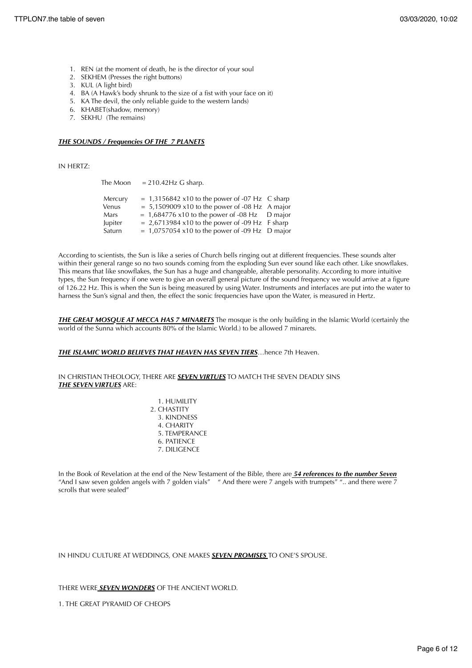- 1. REN (at the moment of death, he is the director of your soul
- 2. SEKHEM (Presses the right buttons)
- 3. KUL (A light bird)
- 4. BA (A Hawk's body shrunk to the size of a fist with your face on it)
- 5. KA The devil, the only reliable guide to the western lands)
- 6. KHABET(shadow, memory)
- 7. SEKHU (The remains)

# *THE SOUNDS / Frequencies OF THE 7 PLANETS*

IN HERTZ:

|         | The Moon $= 210.42$ Hz G sharp.                        |  |
|---------|--------------------------------------------------------|--|
| Mercury | $= 1,3156842$ x10 to the power of -07 Hz C sharp       |  |
| Venus   | $= 5,1509009 \times 10$ to the power of -08 Hz A major |  |
| Mars    | $= 1,684776$ x10 to the power of -08 Hz D major        |  |
| Jupiter | $= 2,6713984$ x10 to the power of -09 Hz F sharp       |  |
| Saturn  | $= 1,0757054 \times 10$ to the power of -09 Hz D major |  |

According to scientists, the Sun is like a series of Church bells ringing out at different frequencies. These sounds alter within their general range so no two sounds coming from the exploding Sun ever sound like each other. Like snowflakes. This means that like snowflakes, the Sun has a huge and changeable, alterable personality. According to more intuitive types, the Sun frequency if one were to give an overall general picture of the sound frequency we would arrive at a figure of 126.22 Hz. This is when the Sun is being measured by using Water. Instruments and interfaces are put into the water to harness the Sun's signal and then, the effect the sonic frequencies have upon the Water, is measured in Hertz.

*THE GREAT MOSQUE AT MECCA HAS 7 MINARETS* The mosque is the only building in the Islamic World (certainly the world of the Sunna which accounts 80% of the Islamic World.) to be allowed 7 minarets.

#### *THE ISLAMIC WORLD BELIEVES THAT HEAVEN HAS SEVEN TIERS*…hence 7th Heaven.

IN CHRISTIAN THEOLOGY, THERE ARE *SEVEN VIRTUES* TO MATCH THE SEVEN DEADLY SINS *THE SEVEN VIRTUES* ARE:

> 1. HUMILITY 2. CHASTITY 3. KINDNESS 4. CHARITY 5. TEMPERANCE 6. PATIENCE 7. DILIGENCE

In the Book of Revelation at the end of the New Testament of the Bible, there are *54 references to the number Seven* "And I saw seven golden angels with 7 golden vials" " And there were 7 angels with trumpets" ".. and there were  $\frac{1}{2}$ scrolls that were sealed"

#### IN HINDU CULTURE AT WEDDINGS, ONE MAKES *SEVEN PROMISES* TO ONE'S SPOUSE.

THERE WERE *SEVEN WONDERS* OF THE ANCIENT WORLD.

1. THE GREAT PYRAMID OF CHEOPS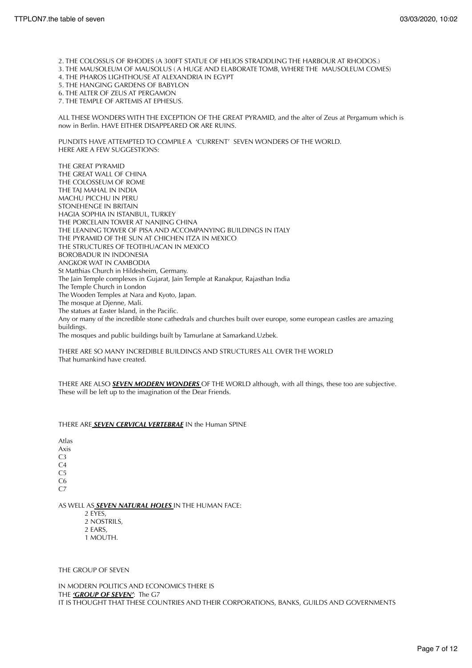2. THE COLOSSUS OF RHODES (A 300FT STATUE OF HELIOS STRADDLING THE HARBOUR AT RHODOS.)

- 3. THE MAUSOLEUM OF MAUSOLUS ( A HUGE AND ELABORATE TOMB, WHERE THE MAUSOLEUM COMES)
- 4. THE PHAROS LIGHTHOUSE AT ALEXANDRIA IN EGYPT
- 5. THE HANGING GARDENS OF BABYLON
- 6. THE ALTER OF ZEUS AT PERGAMON
- 7. THE TEMPLE OF ARTEMIS AT EPHESUS.

ALL THESE WONDERS WITH THE EXCEPTION OF THE GREAT PYRAMID, and the alter of Zeus at Pergamum which is now in Berlin. HAVE EITHER DISAPPEARED OR ARE RUINS.

PUNDITS HAVE ATTEMPTED TO COMPILE A 'CURRENT' SEVEN WONDERS OF THE WORLD. HERE ARE A FEW SUGGESTIONS:

THE GREAT PYRAMID THE GREAT WALL OF CHINA THE COLOSSEUM OF ROME THE TAJ MAHAL IN INDIA MACHU PICCHU IN PERU STONEHENGE IN BRITAIN HAGIA SOPHIA IN ISTANBUL, TURKEY THE PORCELAIN TOWER AT NANJING CHINA THE LEANING TOWER OF PISA AND ACCOMPANYING BUILDINGS IN ITALY THE PYRAMID OF THE SUN AT CHICHEN ITZA IN MEXICO THE STRUCTURES OF TEOTIHUACAN IN MEXICO BOROBADUR IN INDONESIA ANGKOR WAT IN CAMBODIA St Matthias Church in Hildesheim, Germany. The Jain Temple complexes in Gujarat, Jain Temple at Ranakpur, Rajasthan India The Temple Church in London The Wooden Temples at Nara and Kyoto, Japan. The mosque at Djenne, Mali. The statues at Easter Island, in the Pacific. Any or many of the incredible stone cathedrals and churches built over europe, some european castles are amazing buildings. The mosques and public buildings built by Tamurlane at Samarkand.Uzbek.

THERE ARE SO MANY INCREDIBLE BUILDINGS AND STRUCTURES ALL OVER THE WORLD That humankind have created.

THERE ARE ALSO *SEVEN MODERN WONDERS* OF THE WORLD although, with all things, these too are subjective. These will be left up to the imagination of the Dear Friends.

# THERE ARE *SEVEN CERVICAL VERTEBRAE* IN the Human SPINE

Atlas Axis C3 C4  $C<sub>5</sub>$ C6  $C<sub>7</sub>$ 

AS WELL AS *SEVEN NATURAL HOLES* IN THE HUMAN FACE:

 2 EYES, 2 NOSTRILS, 2 EARS, 1 MOUTH.

THE GROUP OF SEVEN

IN MODERN POLITICS AND ECONOMICS THERE IS THE *'GROUP OF SEVEN'*: The G7 IT IS THOUGHT THAT THESE COUNTRIES AND THEIR CORPORATIONS, BANKS, GUILDS AND GOVERNMENTS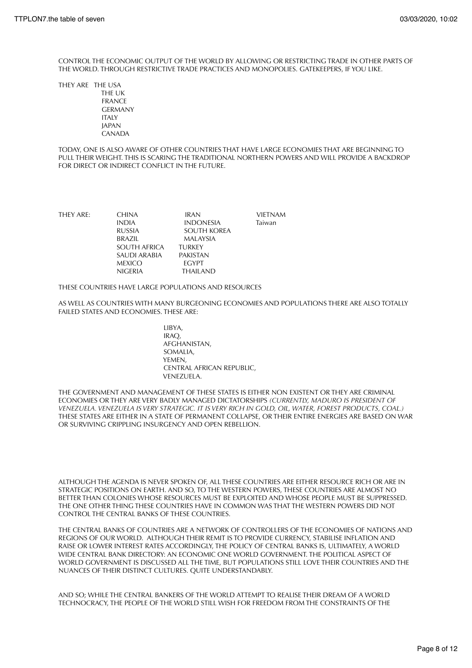CONTROL THE ECONOMIC OUTPUT OF THE WORLD BY ALLOWING OR RESTRICTING TRADE IN OTHER PARTS OF THE WORLD. THROUGH RESTRICTIVE TRADE PRACTICES AND MONOPOLIES. GATEKEEPERS, IF YOU LIKE.

THEY ARE THE USA THE UK FRANCE GERMANY **ITALY**  JAPAN CANADA

TODAY, ONE IS ALSO AWARE OF OTHER COUNTRIES THAT HAVE LARGE ECONOMIES THAT ARE BEGINNING TO PULL THEIR WEIGHT. THIS IS SCARING THE TRADITIONAL NORTHERN POWERS AND WILL PROVIDE A BACKDROP FOR DIRECT OR INDIRECT CONFLICT IN THE FUTURE.

| THEY ARE: | <b>CHINA</b>   | <b>IRAN</b>      | VIETNAM |
|-----------|----------------|------------------|---------|
|           | <b>INDIA</b>   | <b>INDONESIA</b> | Taiwan  |
|           | <b>RUSSIA</b>  | SOUTH KOREA      |         |
|           | <b>BRAZIL</b>  | MALAYSIA         |         |
|           | SOUTH AFRICA   | <b>TURKEY</b>    |         |
|           | SAUDI ARABIA   | <b>PAKISTAN</b>  |         |
|           | <b>MEXICO</b>  | <b>FGYPT</b>     |         |
|           | <b>NIGERIA</b> | THAILAND.        |         |
|           |                |                  |         |

THESE COUNTRIES HAVE LARGE POPULATIONS AND RESOURCES

AS WELL AS COUNTRIES WITH MANY BURGEONING ECONOMIES AND POPULATIONS THERE ARE ALSO TOTALLY FAILED STATES AND ECONOMIES. THESE ARE:

> LIBYA, IRAQ, AFGHANISTAN, SOMALIA, YEMEN, CENTRAL AFRICAN REPUBLIC, VENEZUELA.

THE GOVERNMENT AND MANAGEMENT OF THESE STATES IS EITHER NON EXISTENT OR THEY ARE CRIMINAL ECONOMIES OR THEY ARE VERY BADLY MANAGED DICTATORSHIPS *(CURRENTLY, MADURO IS PRESIDENT OF VENEZUELA. VENEZUELA IS VERY STRATEGIC. IT IS VERY RICH IN GOLD, OIL, WATER, FOREST PRODUCTS, COAL.)* THESE STATES ARE EITHER IN A STATE OF PERMANENT COLLAPSE, OR THEIR ENTIRE ENERGIES ARE BASED ON WAR OR SURVIVING CRIPPLING INSURGENCY AND OPEN REBELLION.

ALTHOUGH THE AGENDA IS NEVER SPOKEN OF, ALL THESE COUNTRIES ARE EITHER RESOURCE RICH OR ARE IN STRATEGIC POSITIONS ON EARTH. AND SO, TO THE WESTERN POWERS, THESE COUNTRIES ARE ALMOST NO BETTER THAN COLONIES WHOSE RESOURCES MUST BE EXPLOITED AND WHOSE PEOPLE MUST BE SUPPRESSED. THE ONE OTHER THING THESE COUNTRIES HAVE IN COMMON WAS THAT THE WESTERN POWERS DID NOT CONTROL THE CENTRAL BANKS OF THESE COUNTRIES.

THE CENTRAL BANKS OF COUNTRIES ARE A NETWORK OF CONTROLLERS OF THE ECONOMIES OF NATIONS AND REGIONS OF OUR WORLD. ALTHOUGH THEIR REMIT IS TO PROVIDE CURRENCY, STABILISE INFLATION AND RAISE OR LOWER INTEREST RATES ACCORDINGLY, THE POLICY OF CENTRAL BANKS IS, ULTIMATELY, A WORLD WIDE CENTRAL BANK DIRECTORY: AN ECONOMIC ONE WORLD GOVERNMENT. THE POLITICAL ASPECT OF WORLD GOVERNMENT IS DISCUSSED ALL THE TIME, BUT POPULATIONS STILL LOVE THEIR COUNTRIES AND THE NUANCES OF THEIR DISTINCT CULTURES. QUITE UNDERSTANDABLY.

AND SO; WHILE THE CENTRAL BANKERS OF THE WORLD ATTEMPT TO REALISE THEIR DREAM OF A WORLD TECHNOCRACY, THE PEOPLE OF THE WORLD STILL WISH FOR FREEDOM FROM THE CONSTRAINTS OF THE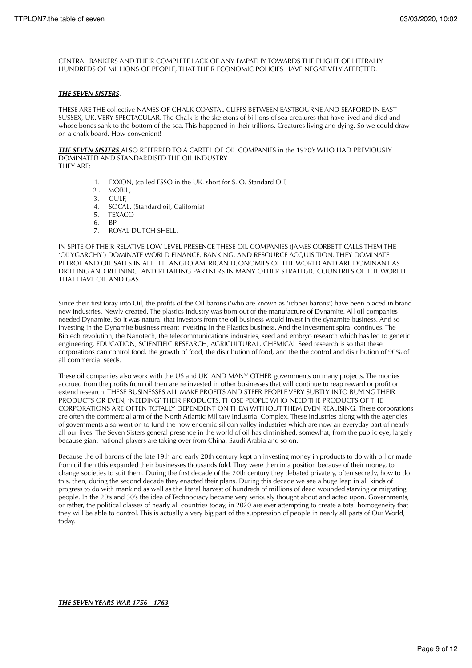CENTRAL BANKERS AND THEIR COMPLETE LACK OF ANY EMPATHY TOWARDS THE PLIGHT OF LITERALLY HUNDREDS OF MILLIONS OF PEOPLE, THAT THEIR ECONOMIC POLICIES HAVE NEGATIVELY AFFECTED.

# *THE SEVEN SISTERS*.

THESE ARE THE collective NAMES OF CHALK COASTAL CLIFFS BETWEEN EASTBOURNE AND SEAFORD IN EAST SUSSEX, UK. VERY SPECTACULAR. The Chalk is the skeletons of billions of sea creatures that have lived and died and whose bones sank to the bottom of the sea. This happened in their trillions. Creatures living and dying. So we could draw on a chalk board. How convenient!

*THE SEVEN SISTERS* ALSO REFERRED TO A CARTEL OF OIL COMPANIES in the 1970's WHO HAD PREVIOUSLY DOMINATED AND STANDARDISED THE OIL INDUSTRY THEY ARE:

- 1. EXXON, (called ESSO in the UK. short for S. O. Standard Oil)
	- 2 . MOBIL,
		- 3. GULF,
		- 4. SOCAL, (Standard oil, California)
		- 5. TEXACO
		- 6. BP
			- 7. ROYAL DUTCH SHELL.

IN SPITE OF THEIR RELATIVE LOW LEVEL PRESENCE THESE OIL COMPANIES (JAMES CORBETT CALLS THEM THE 'OILYGARCHY') DOMINATE WORLD FINANCE, BANKING, AND RESOURCE ACQUISITION. THEY DOMINATE PETROL AND OIL SALES IN ALL THE ANGLO AMERICAN ECONOMIES OF THE WORLD AND ARE DOMINANT AS DRILLING AND REFINING AND RETAILING PARTNERS IN MANY OTHER STRATEGIC COUNTRIES OF THE WORLD THAT HAVE OIL AND GAS.

Since their first foray into Oil, the profits of the Oil barons ('who are known as 'robber barons') have been placed in brand new industries. Newly created. The plastics industry was born out of the manufacture of Dynamite. All oil companies needed Dynamite. So it was natural that investors from the oil business would invest in the dynamite business. And so investing in the Dynamite business meant investing in the Plastics business. And the investment spiral continues. The Biotech revolution, the Nanotech, the telecommunications industries, seed and embryo research which has led to genetic engineering. EDUCATION, SCIENTIFIC RESEARCH, AGRICULTURAL, CHEMICAL Seed research is so that these corporations can control food, the growth of food, the distribution of food, and the the control and distribution of 90% of all commercial seeds.

These oil companies also work with the US and UK AND MANY OTHER governments on many projects. The monies accrued from the profits from oil then are re invested in other businesses that will continue to reap reward or profit or extend research. THESE BUSINESSES ALL MAKE PROFITS AND STEER PEOPLE VERY SUBTLY INTO BUYING THEIR PRODUCTS OR EVEN, 'NEEDING' THEIR PRODUCTS. THOSE PEOPLE WHO NEED THE PRODUCTS OF THE CORPORATIONS ARE OFTEN TOTALLY DEPENDENT ON THEM WITHOUT THEM EVEN REALISING. These corporations are often the commercial arm of the North Atlantic Military Industrial Complex. These industries along with the agencies of governments also went on to fund the now endemic silicon valley industries which are now an everyday part of nearly all our lives. The Seven Sisters general presence in the world of oil has diminished, somewhat, from the public eye, largely because giant national players are taking over from China, Saudi Arabia and so on.

Because the oil barons of the late 19th and early 20th century kept on investing money in products to do with oil or made from oil then this expanded their businesses thousands fold. They were then in a position because of their money, to change societies to suit them. During the first decade of the 20th century they debated privately, often secretly, how to do this, then, during the second decade they enacted their plans. During this decade we see a huge leap in all kinds of progress to do with mankind as well as the literal harvest of hundreds of millions of dead wounded starving or migrating people. In the 20's and 30's the idea of Technocracy became very seriously thought about and acted upon. Governments, or rather, the political classes of nearly all countries today, in 2020 are ever attempting to create a total homogeneity that they will be able to control. This is actually a very big part of the suppression of people in nearly all parts of Our World, today.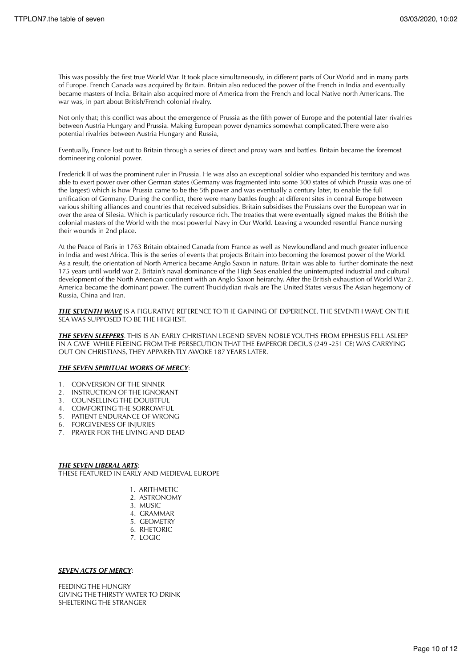This was possibly the first true World War. It took place simultaneously, in different parts of Our World and in many parts of Europe. French Canada was acquired by Britain. Britain also reduced the power of the French in India and eventually became masters of India. Britain also acquired more of America from the French and local Native north Americans. The war was, in part about British/French colonial rivalry.

Not only that; this conflict was about the emergence of Prussia as the fifth power of Europe and the potential later rivalries between Austria Hungary and Prussia. Making European power dynamics somewhat complicated.There were also potential rivalries between Austria Hungary and Russia,

Eventually, France lost out to Britain through a series of direct and proxy wars and battles. Britain became the foremost domineering colonial power.

Frederick II of was the prominent ruler in Prussia. He was also an exceptional soldier who expanded his territory and was able to exert power over other German states (Germany was fragmented into some 300 states of which Prussia was one of the largest) which is how Prussia came to be the 5th power and was eventually a century later, to enable the full unification of Germany. During the conflict, there were many battles fought at different sites in central Europe between various shifting alliances and countries that received subsidies. Britain subsidises the Prussians over the European war in over the area of Silesia. Which is particularly resource rich. The treaties that were eventually signed makes the British the colonial masters of the World with the most powerful Navy in Our World. Leaving a wounded resentful France nursing their wounds in 2nd place.

At the Peace of Paris in 1763 Britain obtained Canada from France as well as Newfoundland and much greater influence in India and west Africa. This is the series of events that projects Britain into becoming the foremost power of the World. As a result, the orientation of North America became Anglo Saxon in nature. Britain was able to further dominate the next 175 years until world war 2. Britain's naval dominance of the High Seas enabled the uninterrupted industrial and cultural development of the North American continent with an Anglo Saxon heirarchy. After the British exhaustion of World War 2. America became the dominant power. The current Thucidydian rivals are The United States versus The Asian hegemony of Russia, China and Iran.

*THE SEVENTH WAVE* IS A FIGURATIVE REFERENCE TO THE GAINING OF EXPERIENCE. THE SEVENTH WAVE ON THE SEA WAS SUPPOSED TO BE THE HIGHEST.

*THE SEVEN SLEEPERS*. THIS IS AN EARLY CHRISTIAN LEGEND SEVEN NOBLE YOUTHS FROM EPHESUS FELL ASLEEP IN A CAVE WHILE FLEEING FROM THE PERSECUTION THAT THE EMPEROR DECIUS (249 -251 CE) WAS CARRYING OUT ON CHRISTIANS, THEY APPARENTLY AWOKE 187 YEARS LATER.

# *THE SEVEN SPIRITUAL WORKS OF MERCY*:

- 1. CONVERSION OF THE SINNER
- 2. INSTRUCTION OF THE IGNORANT
- 3. COUNSELLING THE DOUBTFUL
- 4. COMFORTING THE SORROWFUL
- 5. PATIENT ENDURANCE OF WRONG
- 6. FORGIVENESS OF INJURIES
- 7. PRAYER FOR THE LIVING AND DEAD

*THE SEVEN LIBERAL ARTS*: THESE FEATURED IN EARLY AND MEDIEVAL EUROPE

- 1. ARITHMETIC
- 2. ASTRONOMY
- 3. MUSIC
- 4. GRAMMAR
- 5. GEOMETRY
- 6. RHETORIC
- 7. LOGIC

# *SEVEN ACTS OF MERCY*:

FEEDING THE HUNGRY GIVING THE THIRSTY WATER TO DRINK SHELTERING THE STRANGER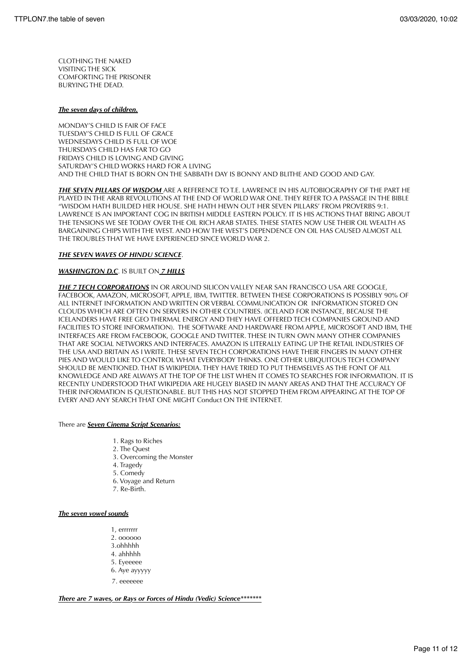CLOTHING THE NAKED VISITING THE SICK COMFORTING THE PRISONER BURYING THE DEAD.

# *The seven days of children.*

MONDAY'S CHILD IS FAIR OF FACE TUESDAY'S CHILD IS FULL OF GRACE WEDNESDAYS CHILD IS FULL OF WOE THURSDAYS CHILD HAS FAR TO GO FRIDAYS CHILD IS LOVING AND GIVING SATURDAY'S CHILD WORKS HARD FOR A LIVING AND THE CHILD THAT IS BORN ON THE SABBATH DAY IS BONNY AND BLITHE AND GOOD AND GAY.

*THE SEVEN PILLARS OF WISDOM* ARE A REFERENCE TO T.E. LAWRENCE IN HIS AUTOBIOGRAPHY OF THE PART HE PLAYED IN THE ARAB REVOLUTIONS AT THE END OF WORLD WAR ONE. THEY REFER TO A PASSAGE IN THE BIBLE "WISDOM HATH BUILDED HER HOUSE. SHE HATH HEWN OUT HER SEVEN PILLARS' FROM PROVERBS 9:1. LAWRENCE IS AN IMPORTANT COG IN BRITISH MIDDLE EASTERN POLICY. IT IS HIS ACTIONS THAT BRING ABOUT THE TENSIONS WE SEE TODAY OVER THE OIL RICH ARAB STATES. THESE STATES NOW USE THEIR OIL WEALTH AS BARGAINING CHIPS WITH THE WEST. AND HOW THE WEST'S DEPENDENCE ON OIL HAS CAUSED ALMOST ALL THE TROUBLES THAT WE HAVE EXPERIENCED SINCE WORLD WAR 2.

# *THE SEVEN WAVES OF HINDU SCIENCE*.

# *WASHINGTON D.C*. IS BUILT ON *7 HILLS*

*THE 7 TECH CORPORATIONS* IN OR AROUND SILICON VALLEY NEAR SAN FRANCISCO USA ARE GOOGLE, FACEBOOK, AMAZON, MICROSOFT, APPLE, IBM, TWITTER. BETWEEN THESE CORPORATIONS IS POSSIBLY 90% OF ALL INTERNET INFORMATION AND WRITTEN OR VERBAL COMMUNICATION OR INFORMATION STORED ON CLOUDS WHICH ARE OFTEN ON SERVERS IN OTHER COUNTRIES. (ICELAND FOR INSTANCE, BECAUSE THE ICELANDERS HAVE FREE GEO THERMAL ENERGY AND THEY HAVE OFFERED TECH COMPANIES GROUND AND FACILITIES TO STORE INFORMATION). THE SOFTWARE AND HARDWARE FROM APPLE, MICROSOFT AND IBM, THE INTERFACES ARE FROM FACEBOOK, GOOGLE AND TWITTER. THESE IN TURN OWN MANY OTHER COMPANIES THAT ARE SOCIAL NETWORKS AND INTERFACES. AMAZON IS LITERALLY EATING UP THE RETAIL INDUSTRIES OF THE USA AND BRITAIN AS I WRITE. THESE SEVEN TECH CORPORATIONS HAVE THEIR FINGERS IN MANY OTHER PIES AND WOULD LIKE TO CONTROL WHAT EVERYBODY THINKS. ONE OTHER UBIQUITOUS TECH COMPANY SHOULD BE MENTIONED. THAT IS WIKIPEDIA. THEY HAVE TRIED TO PUT THEMSELVES AS THE FONT OF ALL KNOWLEDGE AND ARE ALWAYS AT THE TOP OF THE LIST WHEN IT COMES TO SEARCHES FOR INFORMATION. IT IS RECENTLY UNDERSTOOD THAT WIKIPEDIA ARE HUGELY BIASED IN MANY AREAS AND THAT THE ACCURACY OF THEIR INFORMATION IS QUESTIONABLE. BUT THIS HAS NOT STOPPED THEM FROM APPEARING AT THE TOP OF EVERY AND ANY SEARCH THAT ONE MIGHT Conduct ON THE INTERNET.

# There are *Seven Cinema Script Scenarios:*

- 1. Rags to Riches
- 2. The Quest
- 3. Overcoming the Monster
- 4. Tragedy
- 5. Comedy
- 6. Voyage and Return
- 7. Re-Birth.

# *The seven vowel sounds*

- 1, errrrrrr
- 2. oooooo
- 3.ohhhhh
- 4. ahhhhh
- 5. Eyeeeee
- 6. Aye ayyyyy
- 7. eeeeeee

*There are 7 waves, or Rays or Forces of Hindu (Vedic) Science\*\*\*\*\*\*\**